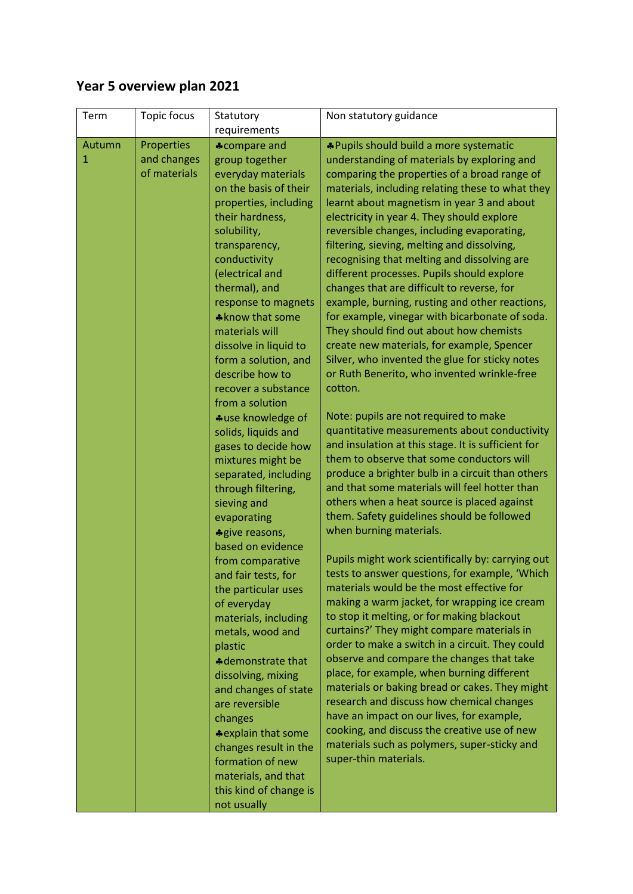## **Year 5 overview plan 2021**

| Term   | Topic focus  | Statutory                               | Non statutory guidance                                                                        |
|--------|--------------|-----------------------------------------|-----------------------------------------------------------------------------------------------|
|        |              | requirements                            |                                                                                               |
| Autumn | Properties   | <b>*compare and</b>                     | *Pupils should build a more systematic                                                        |
| 1      | and changes  | group together                          | understanding of materials by exploring and                                                   |
|        | of materials | everyday materials                      | comparing the properties of a broad range of                                                  |
|        |              | on the basis of their                   | materials, including relating these to what they                                              |
|        |              | properties, including                   | learnt about magnetism in year 3 and about                                                    |
|        |              | their hardness,                         | electricity in year 4. They should explore                                                    |
|        |              | solubility,                             | reversible changes, including evaporating,                                                    |
|        |              | transparency,                           | filtering, sieving, melting and dissolving,                                                   |
|        |              | conductivity                            | recognising that melting and dissolving are                                                   |
|        |              | (electrical and                         | different processes. Pupils should explore                                                    |
|        |              | thermal), and                           | changes that are difficult to reverse, for                                                    |
|        |              | response to magnets                     | example, burning, rusting and other reactions,                                                |
|        |              | *know that some                         | for example, vinegar with bicarbonate of soda.                                                |
|        |              | materials will                          | They should find out about how chemists                                                       |
|        |              | dissolve in liquid to                   | create new materials, for example, Spencer                                                    |
|        |              | form a solution, and<br>describe how to | Silver, who invented the glue for sticky notes<br>or Ruth Benerito, who invented wrinkle-free |
|        |              | recover a substance                     | cotton.                                                                                       |
|        |              | from a solution                         |                                                                                               |
|        |              | *use knowledge of                       | Note: pupils are not required to make                                                         |
|        |              | solids, liquids and                     | quantitative measurements about conductivity                                                  |
|        |              | gases to decide how                     | and insulation at this stage. It is sufficient for                                            |
|        |              | mixtures might be                       | them to observe that some conductors will                                                     |
|        |              | separated, including                    | produce a brighter bulb in a circuit than others                                              |
|        |              | through filtering,                      | and that some materials will feel hotter than                                                 |
|        |              | sieving and                             | others when a heat source is placed against                                                   |
|        |              | evaporating                             | them. Safety guidelines should be followed                                                    |
|        |              | *give reasons,                          | when burning materials.                                                                       |
|        |              | based on evidence                       |                                                                                               |
|        |              | from comparative                        | Pupils might work scientifically by: carrying out                                             |
|        |              | and fair tests, for                     | tests to answer questions, for example, 'Which                                                |
|        |              | the particular uses                     | materials would be the most effective for                                                     |
|        |              | of everyday                             | making a warm jacket, for wrapping ice cream                                                  |
|        |              | materials, including                    | to stop it melting, or for making blackout                                                    |
|        |              | metals, wood and                        | curtains?' They might compare materials in<br>order to make a switch in a circuit. They could |
|        |              | plastic                                 | observe and compare the changes that take                                                     |
|        |              | *demonstrate that                       | place, for example, when burning different                                                    |
|        |              | dissolving, mixing                      | materials or baking bread or cakes. They might                                                |
|        |              | and changes of state                    | research and discuss how chemical changes                                                     |
|        |              | are reversible<br>changes               | have an impact on our lives, for example,                                                     |
|        |              | *explain that some                      | cooking, and discuss the creative use of new                                                  |
|        |              | changes result in the                   | materials such as polymers, super-sticky and                                                  |
|        |              | formation of new                        | super-thin materials.                                                                         |
|        |              | materials, and that                     |                                                                                               |
|        |              | this kind of change is                  |                                                                                               |
|        |              | not usually                             |                                                                                               |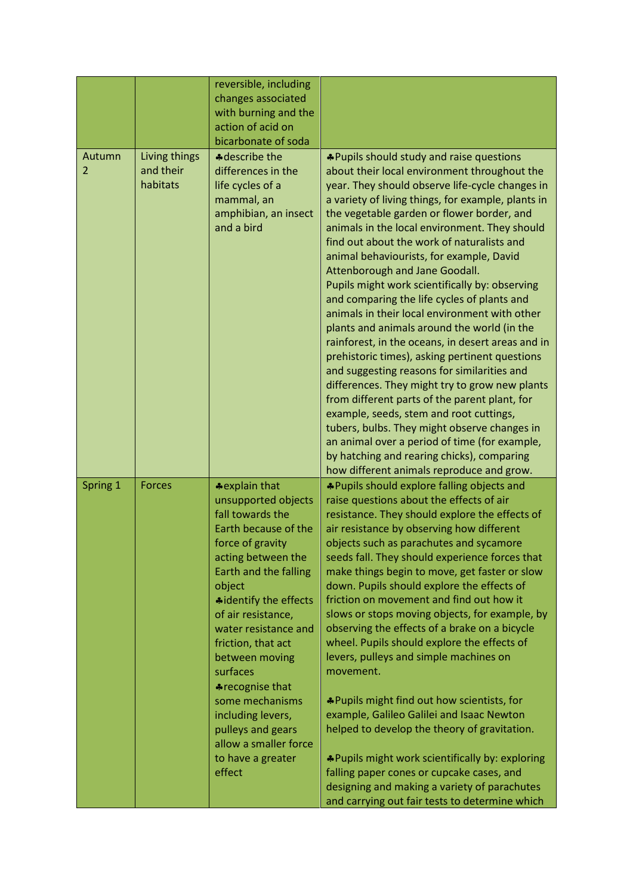|             |                                        | reversible, including<br>changes associated<br>with burning and the<br>action of acid on<br>bicarbonate of soda                                                                                                                                                                                                                                                                                                                  |                                                                                                                                                                                                                                                                                                                                                                                                                                                                                                                                                                                                                                                                                                                                                                                                                                                                                                                                                                                                                                                                                                                               |
|-------------|----------------------------------------|----------------------------------------------------------------------------------------------------------------------------------------------------------------------------------------------------------------------------------------------------------------------------------------------------------------------------------------------------------------------------------------------------------------------------------|-------------------------------------------------------------------------------------------------------------------------------------------------------------------------------------------------------------------------------------------------------------------------------------------------------------------------------------------------------------------------------------------------------------------------------------------------------------------------------------------------------------------------------------------------------------------------------------------------------------------------------------------------------------------------------------------------------------------------------------------------------------------------------------------------------------------------------------------------------------------------------------------------------------------------------------------------------------------------------------------------------------------------------------------------------------------------------------------------------------------------------|
| Autumn<br>2 | Living things<br>and their<br>habitats | *describe the<br>differences in the<br>life cycles of a<br>mammal, an<br>amphibian, an insect<br>and a bird                                                                                                                                                                                                                                                                                                                      | *Pupils should study and raise questions<br>about their local environment throughout the<br>year. They should observe life-cycle changes in<br>a variety of living things, for example, plants in<br>the vegetable garden or flower border, and<br>animals in the local environment. They should<br>find out about the work of naturalists and<br>animal behaviourists, for example, David<br>Attenborough and Jane Goodall.<br>Pupils might work scientifically by: observing<br>and comparing the life cycles of plants and<br>animals in their local environment with other<br>plants and animals around the world (in the<br>rainforest, in the oceans, in desert areas and in<br>prehistoric times), asking pertinent questions<br>and suggesting reasons for similarities and<br>differences. They might try to grow new plants<br>from different parts of the parent plant, for<br>example, seeds, stem and root cuttings,<br>tubers, bulbs. They might observe changes in<br>an animal over a period of time (for example,<br>by hatching and rearing chicks), comparing<br>how different animals reproduce and grow. |
| Spring 1    | <b>Forces</b>                          | *explain that<br>unsupported objects<br>fall towards the<br>Earth because of the<br>force of gravity<br>acting between the<br>Earth and the falling<br>object<br>*identify the effects<br>of air resistance,<br>water resistance and<br>friction, that act<br>between moving<br>surfaces<br>*recognise that<br>some mechanisms<br>including levers,<br>pulleys and gears<br>allow a smaller force<br>to have a greater<br>effect | *Pupils should explore falling objects and<br>raise questions about the effects of air<br>resistance. They should explore the effects of<br>air resistance by observing how different<br>objects such as parachutes and sycamore<br>seeds fall. They should experience forces that<br>make things begin to move, get faster or slow<br>down. Pupils should explore the effects of<br>friction on movement and find out how it<br>slows or stops moving objects, for example, by<br>observing the effects of a brake on a bicycle<br>wheel. Pupils should explore the effects of<br>levers, pulleys and simple machines on<br>movement.<br>*Pupils might find out how scientists, for<br>example, Galileo Galilei and Isaac Newton<br>helped to develop the theory of gravitation.<br>*Pupils might work scientifically by: exploring<br>falling paper cones or cupcake cases, and<br>designing and making a variety of parachutes<br>and carrying out fair tests to determine which                                                                                                                                           |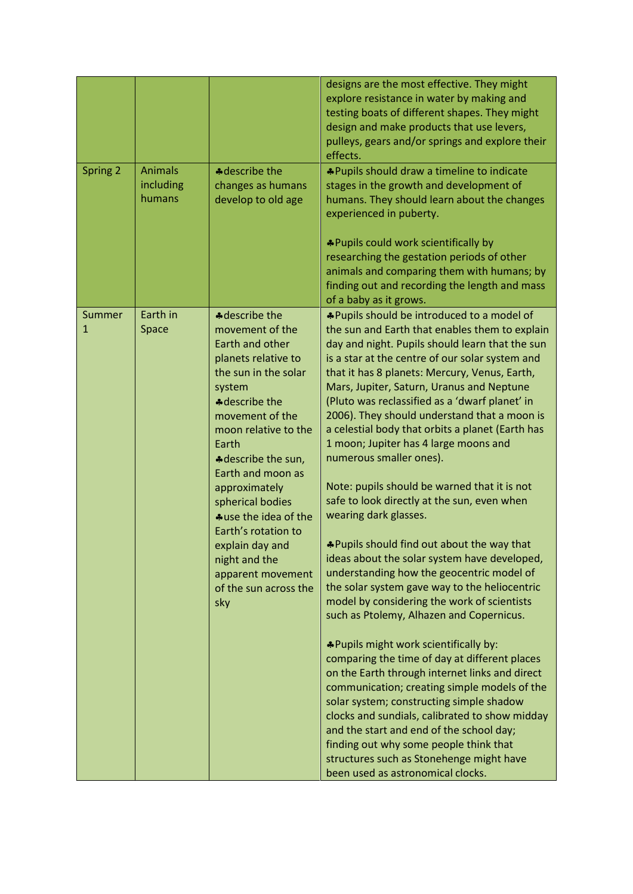| Spring 2    | <b>Animals</b><br>including<br>humans | *describe the<br>changes as humans<br>develop to old age                                                                                                                                                                                                                                                                                                                                                  | designs are the most effective. They might<br>explore resistance in water by making and<br>testing boats of different shapes. They might<br>design and make products that use levers,<br>pulleys, gears and/or springs and explore their<br>effects.<br>*Pupils should draw a timeline to indicate<br>stages in the growth and development of<br>humans. They should learn about the changes<br>experienced in puberty.                                                                                                                                                                                                                                                                                                                                                                                                                                                                                                                                                                                                                                                                                                                                                                                                                                                                                                                                                                                    |
|-------------|---------------------------------------|-----------------------------------------------------------------------------------------------------------------------------------------------------------------------------------------------------------------------------------------------------------------------------------------------------------------------------------------------------------------------------------------------------------|------------------------------------------------------------------------------------------------------------------------------------------------------------------------------------------------------------------------------------------------------------------------------------------------------------------------------------------------------------------------------------------------------------------------------------------------------------------------------------------------------------------------------------------------------------------------------------------------------------------------------------------------------------------------------------------------------------------------------------------------------------------------------------------------------------------------------------------------------------------------------------------------------------------------------------------------------------------------------------------------------------------------------------------------------------------------------------------------------------------------------------------------------------------------------------------------------------------------------------------------------------------------------------------------------------------------------------------------------------------------------------------------------------|
|             |                                       |                                                                                                                                                                                                                                                                                                                                                                                                           | *Pupils could work scientifically by<br>researching the gestation periods of other<br>animals and comparing them with humans; by<br>finding out and recording the length and mass<br>of a baby as it grows.                                                                                                                                                                                                                                                                                                                                                                                                                                                                                                                                                                                                                                                                                                                                                                                                                                                                                                                                                                                                                                                                                                                                                                                                |
| Summer<br>1 | Earth in<br>Space                     | *describe the<br>movement of the<br>Earth and other<br>planets relative to<br>the sun in the solar<br>system<br>*describe the<br>movement of the<br>moon relative to the<br>Earth<br>*describe the sun,<br>Earth and moon as<br>approximately<br>spherical bodies<br>*use the idea of the<br>Earth's rotation to<br>explain day and<br>night and the<br>apparent movement<br>of the sun across the<br>sky | *Pupils should be introduced to a model of<br>the sun and Earth that enables them to explain<br>day and night. Pupils should learn that the sun<br>is a star at the centre of our solar system and<br>that it has 8 planets: Mercury, Venus, Earth,<br>Mars, Jupiter, Saturn, Uranus and Neptune<br>(Pluto was reclassified as a 'dwarf planet' in<br>2006). They should understand that a moon is<br>a celestial body that orbits a planet (Earth has<br>1 moon; Jupiter has 4 large moons and<br>numerous smaller ones).<br>Note: pupils should be warned that it is not<br>safe to look directly at the sun, even when<br>wearing dark glasses.<br>*Pupils should find out about the way that<br>ideas about the solar system have developed,<br>understanding how the geocentric model of<br>the solar system gave way to the heliocentric<br>model by considering the work of scientists<br>such as Ptolemy, Alhazen and Copernicus.<br>*Pupils might work scientifically by:<br>comparing the time of day at different places<br>on the Earth through internet links and direct<br>communication; creating simple models of the<br>solar system; constructing simple shadow<br>clocks and sundials, calibrated to show midday<br>and the start and end of the school day;<br>finding out why some people think that<br>structures such as Stonehenge might have<br>been used as astronomical clocks. |